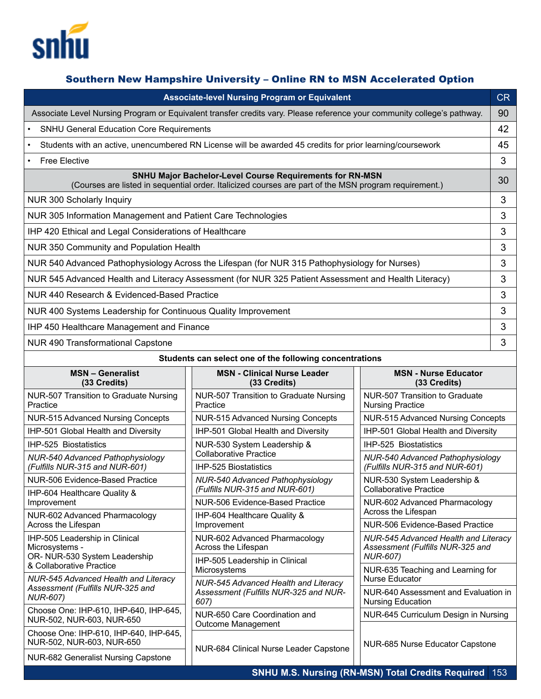

# Southern New Hampshire University – Online RN to MSN Accelerated Option

| <b>Associate-level Nursing Program or Equivalent</b>                                                                                                                     |                                                                                       |                                                                                             | CR |
|--------------------------------------------------------------------------------------------------------------------------------------------------------------------------|---------------------------------------------------------------------------------------|---------------------------------------------------------------------------------------------|----|
| Associate Level Nursing Program or Equivalent transfer credits vary. Please reference your community college's pathway.                                                  |                                                                                       |                                                                                             | 90 |
| <b>SNHU General Education Core Requirements</b>                                                                                                                          |                                                                                       |                                                                                             | 42 |
| Students with an active, unencumbered RN License will be awarded 45 credits for prior learning/coursework                                                                |                                                                                       |                                                                                             | 45 |
| <b>Free Elective</b>                                                                                                                                                     |                                                                                       |                                                                                             | 3  |
| <b>SNHU Major Bachelor-Level Course Requirements for RN-MSN</b><br>(Courses are listed in sequential order. Italicized courses are part of the MSN program requirement.) |                                                                                       |                                                                                             | 30 |
| NUR 300 Scholarly Inquiry                                                                                                                                                |                                                                                       |                                                                                             | 3  |
| NUR 305 Information Management and Patient Care Technologies                                                                                                             |                                                                                       |                                                                                             | 3  |
| IHP 420 Ethical and Legal Considerations of Healthcare                                                                                                                   |                                                                                       |                                                                                             | 3  |
| NUR 350 Community and Population Health                                                                                                                                  |                                                                                       |                                                                                             | 3  |
| NUR 540 Advanced Pathophysiology Across the Lifespan (for NUR 315 Pathophysiology for Nurses)                                                                            |                                                                                       |                                                                                             | 3  |
| NUR 545 Advanced Health and Literacy Assessment (for NUR 325 Patient Assessment and Health Literacy)                                                                     |                                                                                       |                                                                                             | 3  |
| NUR 440 Research & Evidenced-Based Practice                                                                                                                              |                                                                                       |                                                                                             | 3  |
| NUR 400 Systems Leadership for Continuous Quality Improvement                                                                                                            |                                                                                       |                                                                                             | 3  |
| IHP 450 Healthcare Management and Finance                                                                                                                                |                                                                                       |                                                                                             | 3  |
| <b>NUR 490 Transformational Capstone</b>                                                                                                                                 |                                                                                       |                                                                                             | 3  |
| Students can select one of the following concentrations                                                                                                                  |                                                                                       |                                                                                             |    |
| <b>MSN-Generalist</b><br>(33 Credits)                                                                                                                                    | <b>MSN - Clinical Nurse Leader</b><br>(33 Credits)                                    | <b>MSN - Nurse Educator</b><br>(33 Credits)                                                 |    |
| NUR-507 Transition to Graduate Nursing                                                                                                                                   | NUR-507 Transition to Graduate Nursing                                                | NUR-507 Transition to Graduate                                                              |    |
| Practice                                                                                                                                                                 | Practice                                                                              | <b>Nursing Practice</b>                                                                     |    |
| <b>NUR-515 Advanced Nursing Concepts</b>                                                                                                                                 | <b>NUR-515 Advanced Nursing Concepts</b>                                              | <b>NUR-515 Advanced Nursing Concepts</b>                                                    |    |
| IHP-501 Global Health and Diversity                                                                                                                                      | IHP-501 Global Health and Diversity                                                   | IHP-501 Global Health and Diversity                                                         |    |
| IHP-525 Biostatistics                                                                                                                                                    | NUR-530 System Leadership &<br><b>Collaborative Practice</b>                          | IHP-525 Biostatistics                                                                       |    |
| <b>NUR-540 Advanced Pathophysiology</b><br>(Fulfills NUR-315 and NUR-601)                                                                                                | <b>IHP-525 Biostatistics</b>                                                          | NUR-540 Advanced Pathophysiology<br>(Fulfills NUR-315 and NUR-601)                          |    |
| NUR-506 Evidence-Based Practice                                                                                                                                          | <b>NUR-540 Advanced Pathophysiology</b>                                               | NUR-530 System Leadership &                                                                 |    |
| IHP-604 Healthcare Quality &                                                                                                                                             | (Fulfills NUR-315 and NUR-601)                                                        | <b>Collaborative Practice</b>                                                               |    |
| Improvement<br>NUR-602 Advanced Pharmacology                                                                                                                             | NUR-506 Evidence-Based Practice<br>IHP-604 Healthcare Quality &                       | NUR-602 Advanced Pharmacology<br>Across the Lifespan                                        |    |
| Across the Lifespan                                                                                                                                                      | Improvement                                                                           | NUR-506 Evidence-Based Practice                                                             |    |
| IHP-505 Leadership in Clinical<br>Microsystems -<br>OR- NUR-530 System Leadership                                                                                        | NUR-602 Advanced Pharmacology<br>Across the Lifespan                                  | NUR-545 Advanced Health and Literacy<br>Assessment (Fulfills NUR-325 and<br><b>NUR-607)</b> |    |
| & Collaborative Practice                                                                                                                                                 | IHP-505 Leadership in Clinical<br>Microsystems                                        | NUR-635 Teaching and Learning for                                                           |    |
| NUR-545 Advanced Health and Literacy<br>Assessment (Fulfills NUR-325 and                                                                                                 | NUR-545 Advanced Health and Literacy<br>Assessment (Fulfills NUR-325 and NUR-<br>607) | <b>Nurse Educator</b><br>NUR-640 Assessment and Evaluation in                               |    |
| <b>NUR-607)</b>                                                                                                                                                          |                                                                                       | <b>Nursing Education</b>                                                                    |    |
| Choose One: IHP-610, IHP-640, IHP-645,<br>NUR-502, NUR-603, NUR-650                                                                                                      | NUR-650 Care Coordination and                                                         | NUR-645 Curriculum Design in Nursing                                                        |    |
| Choose One: IHP-610, IHP-640, IHP-645,<br>NUR-502, NUR-603, NUR-650                                                                                                      | Outcome Management                                                                    | NUR-685 Nurse Educator Capstone                                                             |    |
| <b>NUR-682 Generalist Nursing Capstone</b>                                                                                                                               | NUR-684 Clinical Nurse Leader Capstone                                                |                                                                                             |    |